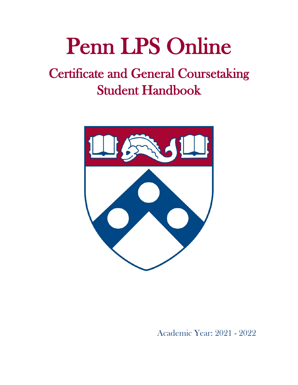# Penn LPS Online

# Certificate and General Coursetaking Student Handbook



Academic Year: 2021 - 2022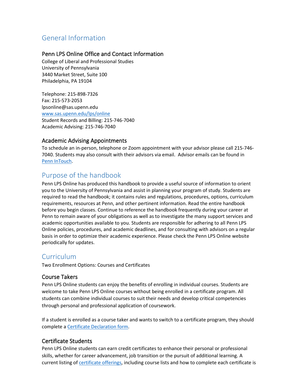# <span id="page-2-0"></span>General Information

# <span id="page-2-1"></span>Penn LPS Online Office and Contact Information

College of Liberal and Professional Studies University of Pennsylvania 3440 Market Street, Suite 100 Philadelphia, PA 19104

Telephone: 215-898-7326 Fax: 215-573-2053 lpsonline@sas.upenn.edu [www.sas.upenn.edu/lps/online](https://www.sas.upenn.edu/lps/online) Student Records and Billing: 215-746-7040 Academic Advising: 215-746-7040

# <span id="page-2-2"></span>Academic Advising Appointments

To schedule an in-person, telephone or Zoom appointment with your advisor please call 215-746- 7040. Students may also consult with their advisors via email. Advisor emails can be found in [Penn InTouch.](https://portal.apps.upenn.edu/penn_portal/intouch/splash.html)

# <span id="page-2-3"></span>Purpose of the handbook

Penn LPS Online has produced this handbook to provide a useful source of information to orient you to the University of Pennsylvania and assist in planning your program of study. Students are required to read the handbook; it contains rules and regulations, procedures, options, curriculum requirements, resources at Penn, and other pertinent information. Read the entire handbook before you begin classes. Continue to reference the handbook frequently during your career at Penn to remain aware of your obligations as well as to investigate the many support services and academic opportunities available to you. Students are responsible for adhering to all Penn LPS Online policies, procedures, and academic deadlines, and for consulting with advisors on a regular basis in order to optimize their academic experience. Please check the Penn LPS Online website periodically for updates.

# <span id="page-2-4"></span>Curriculum

Two Enrollment Options: Courses and Certificates

# <span id="page-2-5"></span>Course Takers

Penn LPS Online students can enjoy the benefits of enrolling in individual courses. Students are welcome to take Penn LPS Online courses without being enrolled in a certificate program. All students can combine individual courses to suit their needs and develop critical competencies through personal and professional application of coursework.

If a student is enrolled as a course taker and wants to switch to a certificate program, they should complete [a Certificate Declaration form.](https://www.sas.upenn.edu/lps/lps-online/form/certificate-declaration)

# <span id="page-2-6"></span>Certificate Students

Penn LPS Online students can earn credit certificates to enhance their personal or professional skills, whether for career advancement, job transition or the pursuit of additional learning. A current listing of **certificate offerings**, including course lists and how to complete each certificate is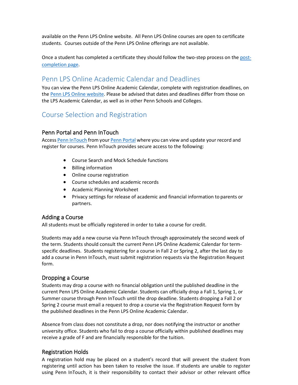available on the Penn LPS Online website. All Penn LPS Online courses are open to certificate students. Courses outside of the Penn LPS Online offerings are not available.

Once a student has completed a certificate they should follow the two-step process on the [post](https://lpsonline.sas.upenn.edu/forms/certificate-post-completion)[completion page.](https://lpsonline.sas.upenn.edu/forms/certificate-post-completion)

# <span id="page-3-0"></span>Penn LPS Online Academic Calendar and Deadlines

You can view the Penn LPS Online Academic Calendar, complete with registration deadlines, on th[e Penn LPS Online website.](https://lpsonline.sas.upenn.edu/student-resources/academic-calendar) Please be advised that dates and deadlines differ from those on the LPS Academic Calendar, as well as in other Penn Schools and Colleges.

# <span id="page-3-1"></span>Course Selection and Registration

#### <span id="page-3-2"></span>Penn Portal and Penn InTouch

Access [Penn InTouch](https://portal.apps.upenn.edu/penn_portal/intouch/splash.html) from you[r Penn Portal](https://portal.apps.upenn.edu/penn_portal/view.php) where you can view and update your record and register for courses. Penn InTouch provides secure access to the following:

- Course Search and Mock Schedule functions
- Billing information
- Online course registration
- Course schedules and academic records
- Academic Planning Worksheet
- Privacy settings for release of academic and financial information to parents or partners.

#### <span id="page-3-3"></span>Adding a Course

All students must be officially registered in order to take a course for credit.

Students may add a new course via Penn InTouch through approximately the second week of the term. Students should consult the current Penn LPS Online Academic Calendar for termspecific deadlines. Students registering for a course in Fall 2 or Spring 2, after the last day to add a course in Penn InTouch, must submit registration requests via the Registration Request form.

#### <span id="page-3-4"></span>Dropping a Course

Students may drop a course with no financial obligation until the published deadline in the current Penn LPS Online Academic Calendar. Students can officially drop a Fall 1, Spring 1, or Summer course through Penn InTouch until the drop deadline. Students dropping a Fall 2 or Spring 2 course must email a request to drop a course via the Registration Request form by the published deadlines in the Penn LPS Online Academic Calendar.

Absence from class does not constitute a drop, nor does notifying the instructor or another university office. Students who fail to drop a course officially within published deadlines may receive a grade of F and are financially responsible for the tuition.

# <span id="page-3-5"></span>Registration Holds

A registration hold may be placed on a student's record that will prevent the student from registering until action has been taken to resolve the issue. If students are unable to register using Penn InTouch, it is their responsibility to contact their advisor or other relevant office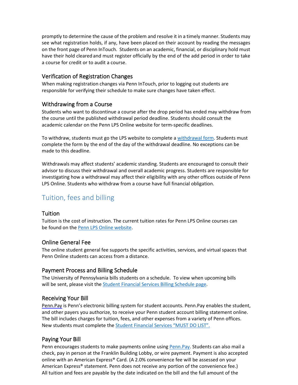promptly to determine the cause of the problem and resolve it in a timely manner. Students may see what registration holds, if any, have been placed on their account by reading the messages on the front page of Penn InTouch. Students on an academic, financial, or disciplinary hold must have their hold cleared and must register officially by the end of the add period in order to take a course for credit or to audit a course.

# <span id="page-4-0"></span>Verification of Registration Changes

When making registration changes via Penn InTouch, prior to logging out students are responsible for verifying their schedule to make sure changes have taken effect.

# <span id="page-4-1"></span>Withdrawing from a Course

Students who want to discontinue a course after the drop period has ended may withdraw from the course until the published withdrawal period deadline. Students should consult the academic calendar on the Penn LPS Online website for term-specific deadlines.

To withdraw, students must go the LPS website to complete [a withdrawal](https://www.lps.upenn.edu/students/current-students) form. Students must complete the form by the end of the day of the withdrawal deadline. No exceptions can be made to this deadline.

Withdrawals may affect students' academic standing. Students are encouraged to consult their advisor to discuss their withdrawal and overall academic progress. Students are responsible for investigating how a withdrawal may affect their eligibility with any other offices outside of Penn LPS Online. Students who withdraw from a course have full financial obligation.

# <span id="page-4-2"></span>Tuition, fees and billing

# <span id="page-4-3"></span>Tuition

Tuition is the cost of instruction. The current tuition rates for Penn LPS Online courses can be found on the [Penn LPS Online website.](https://lpsonline.sas.upenn.edu/tuition-aid/course-tuition)

# <span id="page-4-4"></span>Online General Fee

The online student general fee supports the specific activities, services, and virtual spaces that Penn Online students can access from a distance.

# <span id="page-4-5"></span>Payment Process and Billing Schedule

The University of Pennsylvania bills students on a schedule. To view when upcoming bills will be sent, please visit the **Student Financial Services Billing Schedule page**.

# <span id="page-4-6"></span>Receiving Your Bill

[Penn.Pay](http://www.sfs.upenn.edu/pennpay/how-to-use.htm) is Penn's electronic billing system for student accounts. Penn.Pay enables the student, and other payers you authorize, to receive your Penn student account billing statement online. The bill includes charges for tuition, fees, and other expenses from a variety of Penn offices. New students must complete th[e Student Financial Services "MUST DO LIST".](https://srfs.upenn.edu/must-do)

# <span id="page-4-7"></span>Paying Your Bill

Penn encourages students to make payments online using Penn. Pay. Students can also mail a check, pay in person at the Franklin Building Lobby, or wire payment. Payment is also accepted online with an American Express® Card. (A 2.0% convenience fee will be assessed on your American Express® statement. Penn does not receive any portion of the convenience fee.) All tuition and fees are payable by the date indicated on the bill and the full amount of the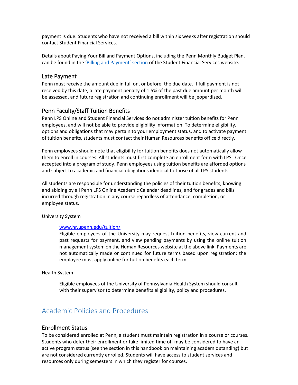payment is due. Students who have not received a bill within six weeks after registration should contact Student Financial Services.

Details about Paying Your Bill and Payment Options, including the Penn Monthly Budget Plan, can be found in the ['Billing and Payment' section](https://srfs.upenn.edu/billing-payment) of the Student Financial Services website.

#### <span id="page-5-0"></span>Late Payment

Penn must receive the amount due in full on, or before, the due date. If full payment is not received by this date, a late payment penalty of 1.5% of the past due amount per month will be assessed, and future registration and continuing enrollment will be jeopardized.

#### <span id="page-5-1"></span>Penn Faculty/Staff Tuition Benefits

Penn LPS Online and Student Financial Services do not administer tuition benefits for Penn employees, and will not be able to provide eligibility information. To determine eligibility, options and obligations that may pertain to your employment status, and to activate payment of tuition benefits, students must contact their Human Resources benefits office directly.

Penn employees should note that eligibility for tuition benefits does not automatically allow them to enroll in courses. All students must first complete an enrollment form with LPS. Once accepted into a program of study, Penn employees using tuition benefits are afforded options and subject to academic and financial obligations identical to those of all LPS students.

All students are responsible for understanding the policies of their tuition benefits, knowing and abiding by all Penn LPS Online Academic Calendar deadlines, and for grades and bills incurred through registration in any course regardless of attendance, completion, or employee status.

University System

#### [www.hr.upenn.edu/tuition/](http://www.hr.upenn.edu/tuition/)

Eligible employees of the University may request tuition benefits, view current and past requests for payment, and view pending payments by using the online tuition management system on the Human Resources website at the above link. Payments are not automatically made or continued for future terms based upon registration; the employee must apply online for tuition benefits each term.

#### Health System

Eligible employees of the University of Pennsylvania Health System should consult with their supervisor to determine benefits eligibility, policy and procedures.

# <span id="page-5-2"></span>Academic Policies and Procedures

#### <span id="page-5-3"></span>Enrollment Status

To be considered enrolled at Penn, a student must maintain registration in a course or courses. Students who defer their enrollment or take limited time off may be considered to have an active program status (see the section in this handbook on maintaining academic standing) but are not considered currently enrolled. Students will have access to student services and resources only during semesters in which they register for courses.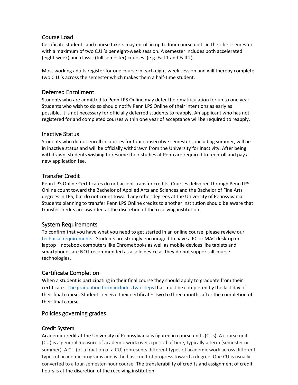# <span id="page-6-0"></span>Course Load

Certificate students and course takers may enroll in up to four course units in their first semester with a maximum of two C.U.'s per eight-week session. A semester includes both accelerated (eight-week) and classic (full semester) courses. (e.g. Fall 1 and Fall 2).

Most working adults register for one course in each eight-week session and will thereby complete two C.U.'s across the semester which makes them a half-time student.

# <span id="page-6-1"></span>Deferred Enrollment

Students who are admitted to Penn LPS Online may defer their matriculation for up to one year. Students who wish to do so should notify Penn LPS Online of their intentions as early as possible. It is not necessary for officially deferred students to reapply. An applicant who has not registered for and completed courses within one year of acceptance will be required to reapply.

# <span id="page-6-2"></span>Inactive Status

Students who do not enroll in courses for four consecutive semesters, including summer, will be in inactive status and will be officially withdrawn from the University for inactivity. After being withdrawn, students wishing to resume their studies at Penn are required to reenroll and pay a new application fee.

# <span id="page-6-3"></span>Transfer Credit

Penn LPS Online Certificates do not accept transfer credits. Courses delivered through Penn LPS Online count toward the Bachelor of Applied Arts and Sciences and the Bachelor of Fine Arts degrees in LPS, but do not count toward any other degrees at the University of Pennsylvania. Students planning to transfer Penn LPS Online credits to another institution should be aware that transfer credits are awarded at the discretion of the receiving institution.

# <span id="page-6-4"></span>System Requirements

To confirm that you have what you need to get started in an online course, please review our [technical requirements.](https://lpsonline.sas.upenn.edu/about-penn-lps-online/am-i-ready-online-learning) Students are strongly encouraged to have a PC or MAC desktop or laptop—notebook computers like Chromebooks as well as mobile devices like tablets and smartphones are NOT recommended as a sole device as they do not support all course technologies.

# <span id="page-6-5"></span>Certificate Completion

When a student is participating in their final course they should apply to graduate from their certificate. [The graduation form includes two steps](https://lpsonline.sas.upenn.edu/forms/certificate-post-completion) that must be completed by the last day of their final course. Students receive their certificates two to three months after the completion of their final course.

# <span id="page-6-6"></span>Policies governing grades

# Credit System

Academic credit at the University of Pennsylvania is figured in course units (CUs). A course unit (CU) is a general measure of academic work over a period of time, typically a term (semester or summer). A CU (or a fraction of a CU) represents different types of academic work across different types of academic programs and is the basic unit of progress toward a degree. One CU is usually converted to a four-semester-hour course. The transferability of credits and assignment of credit hours is at the discretion of the receiving institution.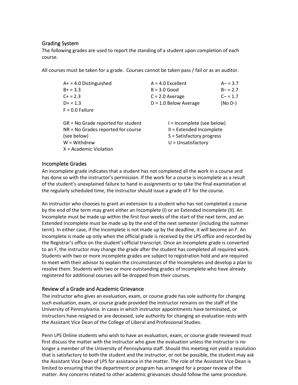#### Grading System

The following grades are used to report the standing of a student upon completion of each course.

All courses must be taken for a grade. Courses cannot be taken pass / fail or as an auditor.

| $A+ = 4.0$ Distinguished             | $A = 4.0$ Excellent        | $A - 3.7$ |
|--------------------------------------|----------------------------|-----------|
| $B+ = 3.3$                           | $B = 3.0$ Good             | $B - 2.7$ |
| $C + 2.3$                            | $C = 2.0$ Average          | $C - 1.7$ |
| $D+ = 1.3$                           | $D = 1.0$ Below Average    | (No D-)   |
| $F = 0.0$ Failure                    |                            |           |
|                                      |                            |           |
| $GR = No$ Grade reported for student | I = Incomplete (see below) |           |
| $NR = No$ Grades reported for course | II = Extended Incomplete   |           |
| (see below)                          | S = Satisfactory progress  |           |
| $W = Withdrew$                       | $U =$ Unsatisfactory       |           |
| $X = Academic Violation$             |                            |           |

#### Incomplete Grades

An incomplete grade indicates that a student has not completed all the work in a course and has done so with the instructor's permission. If the work for a course is incomplete as a result of the student's unexplained failure to hand in assignments or to take the final examination at the regularly scheduled time, the instructor should issue a grade of F for the course.

An instructor who chooses to grant an extension to a student who has not completed a course by the end of the term may grant either an Incomplete (I) or an Extended Incomplete (II). An Incomplete must be made up within the first four weeks of the start of the next term, and an Extended Incomplete must be made up by the end of the next semester (including the summer term). In either case, if the Incomplete is not made up by the deadline, it will become an F. An Incomplete is made up only when the official grade is received by the LPS office and recorded by the Registrar's office on the student'sofficial transcript. Once an Incomplete grade is converted to an F, the instructor may change the grade after the student has completed all required work. Students with two or more incomplete grades are subject to registration hold and are required to meet with their advisor to explain the circumstances of the Incompletes and develop a plan to resolve them. Students with two or more outstanding grades of incomplete who have already registered for additional courses will be dropped from their courses.

#### Review of a Grade and Academic Grievance

The instructor who gives an evaluation, exam, or course grade has sole authority for changing such evaluation, exam, or course grade provided the instructor remains on the staff of the University of Pennsylvania. In cases in which instructor appointments have terminated, or instructors have resigned or are deceased, sole authority for changing an evaluation rests with the Assistant Vice Dean of the College of Liberal and Professional Studies.

Penn LPS Online students who wish to have an evaluation, exam, or course grade reviewed must first discuss the matter with the instructor who gave the evaluation unless the instructor is no longer a member of the University of Pennsylvania staff. Should this meeting not yield a resolution that is satisfactory to both the student and the instructor, or not be possible, the student may ask the Assistant Vice Dean of LPS for assistance in the matter. The role of the Assistant Vice Dean is limited to ensuring that the department or program has arranged for a proper review of the matter. Any concerns related to other academic grievances should follow the same procedure.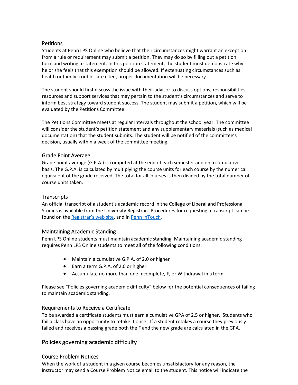#### **Petitions**

Students at Penn LPS Online who believe that their circumstances might warrant an exception from a rule or requirement may submit a petition. They may do so by filling out a petition form and writing a statement. In this petition statement, the student must demonstrate why he or she feels that this exemption should be allowed. If extenuating circumstances such as health or family troubles are cited, proper documentation will be necessary.

The student should first discuss the issue with their advisor to discuss options, responsibilities, resources and support services that may pertain to the student's circumstances and serve to inform best strategy toward student success. The student may submit a petition, which will be evaluated by the Petitions Committee.

The Petitions Committee meets at regular intervals throughout the school year. The committee will consider the student's petition statement and any supplementary materials (such as medical documentation) that the student submits. The student will be notified of the committee's decision, usually within a week of the committee meeting.

#### Grade Point Average

Grade point average (G.P.A.) is computed at the end of each semester and on a cumulative basis. The G.P.A. is calculated by multiplying the course units for each course by the numerical equivalent of the grade received. The total for all courses is then divided by the total number of course units taken.

#### **Transcripts**

An official transcript of a student's academic record in the College of Liberal and Professional Studies is available from the University Registrar. Procedures for requesting a transcript can be found on th[e Registrar's web site,](http://www.upenn.edu/registrar/transcripts/1988-or-later.html) and in [Penn InTouch.](https://portal.apps.upenn.edu/penn_portal/intouch/splash.html)

#### Maintaining Academic Standing

Penn LPS Online students must maintain academic standing. Maintaining academic standing requires Penn LPS Online students to meet all of the following conditions:

- Maintain a cumulative G.P.A. of 2.0 or higher
- Earn a term G.P.A. of 2.0 or higher
- Accumulate no more than one Incomplete, F, or Withdrawal in a term

Please see "Policies governing academic difficulty" below for the potential consequences of failing to maintain academic standing.

#### Requirements to Receive a Certificate

To be awarded a certificate students must earn a cumulative GPA of 2.5 or higher. Students who fail a class have an opportunity to retake it once. If a student retakes a course they previously failed and receives a passing grade both the F and the new grade are calculated in the GPA.

# <span id="page-8-0"></span>Policies governing academic difficulty

# Course Problem Notices

When the work of a student in a given course becomes unsatisfactory for any reason, the instructor may send a Course Problem Notice email to the student. This notice will indicate the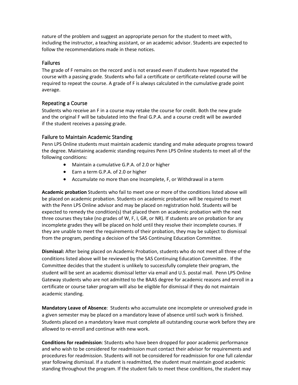nature of the problem and suggest an appropriate person for the student to meet with, including the instructor, a teaching assistant, or an academic advisor. Students are expected to follow the recommendations made in these notices.

#### Failures

The grade of F remains on the record and is not erased even if students have repeated the course with a passing grade. Students who fail a certificate or certificate-related course will be required to repeat the course. A grade of F is always calculated in the cumulative grade point average.

#### Repeating a Course

Students who receive an F in a course may retake the course for credit. Both the new grade and the original F will be tabulated into the final G.P.A. and a course credit will be awarded if the student receives a passing grade.

#### Failure to Maintain Academic Standing

Penn LPS Online students must maintain academic standing and make adequate progress toward the degree. Maintaining academic standing requires Penn LPS Online students to meet all of the following conditions:

- Maintain a cumulative G.P.A. of 2.0 or higher
- Earn a term G.P.A. of 2.0 or higher
- Accumulate no more than one Incomplete, F, or Withdrawal in a term

**Academic probation** Students who fail to meet one or more of the conditions listed above will be placed on academic probation. Students on academic probation will be required to meet with the Penn LPS Online advisor and may be placed on registration hold. Students will be expected to remedy the condition(s) that placed them on academic probation with the next three courses they take (no grades of W, F, I, GR, or NR). If students are on probation for any incomplete grades they will be placed on hold until they resolve their incomplete courses. If they are unable to meet the requirements of their probation, they may be subject to dismissal from the program, pending a decision of the SAS Continuing Education Committee.

**Dismissal:** After being placed on Academic Probation, students who do not meet all three of the conditions listed above will be reviewed by the SAS Continuing Education Committee. If the Committee decides that the student is unlikely to successfully complete their program, the student will be sent an academic dismissal letter via email and U.S. postal mail. Penn LPS Online Gateway students who are not admitted to the BAAS degree for academic reasons and enroll in a certificate or course taker program will also be eligible for dismissal if they do not maintain academic standing.

**Mandatory Leave of Absence**: Students who accumulate one incomplete or unresolved grade in a given semester may be placed on a mandatory leave of absence until such work is finished. Students placed on a mandatory leave must complete all outstanding course work before they are allowed to re-enroll and continue with new work.

**Conditions for readmission**: Students who have been dropped for poor academic performance and who wish to be considered for readmission must contact their advisor for requirements and procedures for readmission. Students will not be considered for readmission for one full calendar year following dismissal. If a student is readmitted, the student must maintain good academic standing throughout the program. If the student fails to meet these conditions, the student may